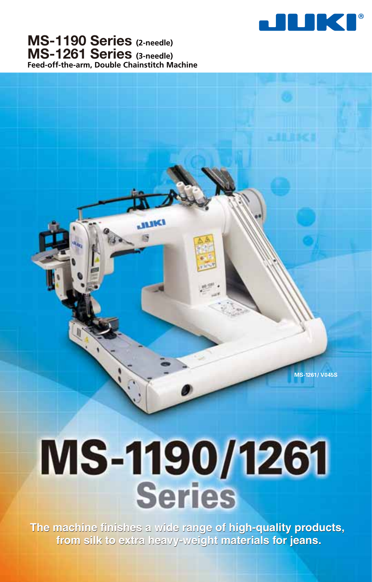

**MS-1190 Series (2-needle) MS-1261 Series (3-needle) Feed-off-the-arm, Double Chainstitch Machine**

**ALINA** 

**MS-1261/ V045S**

# MS-1190/1261 Series

**The machine finishes a wide range of high-quality products,**<br>**from silk to extra heavy-weight materials for jeans. from silk to extra heavy-weight materials for jeans.**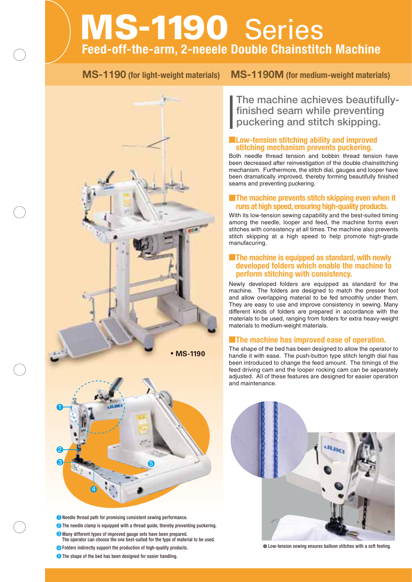## **MS-1190** Series **Feed-off-the-arm, 2-neeele Double Chainstitch Machine**



- **D** Needle thread path for promising consistent sewing performance.
- 2 The needle clamp is equipped with a thread guide, thereby preventing puckering.
- 3 Many different types of improved gauge sets have been prepared. The operator can choose the one best-suited for the type of material to be used.
- 4 Folders indirectly support the production of high-quality products.
- **5** The shape of the bed has been designed for easier handling.

#### **MS-1190 (for light-weight materials) MS-1190M (for medium-weight materials)**

**The machine achieves beautifullyfinished seam while preventing puckering and stitch skipping.**

#### **Low-tension stitching ability and improved stitching mechanism prevents puckering.**

Both needle thread tension and bobbin thread tension have been decreased after reinvestigation of the double chainstitching mechanism. Furthermore, the stitch dial, gauges and looper have been dramatically improved, thereby forming beautifully finished seams and preventing puckering.

#### **The machine prevents stitch skipping even when it runs at high speed, ensuring high-quality products.**

With its low-tension sewing capability and the best-suited timing among the needle, looper and feed, the machine forms even stitches with consistency at all times. The machine also prevents stitch skipping at a high speed to help promote high-grade manufacuring.

#### **The machine is equipped as standard, with newly developed folders which enable the machine to perform stitching with consistency.**

Newly developed folders are equipped as standard for the machine. The folders are designed to match the presser foot and allow overlapping material to be fed smoothly under them. They are easy to use and improve consistency in sewing. Many different kinds of folders are prepared in accordance with the materials to be used, ranging from folders for extra heavy-weight materials to medium-weight materials.

#### **The machine has improved ease of operation.**

The shape of the bed has been designed to allow the operator to handle it with ease. The push-button type stitch length dial has been introduced to change the feed amount. The timings of the feed driving cam and the looper rocking cam can be separately adjusted. All of these features are designed for easier operation and maintenance.



Low-tension sewing ensures balloon stitches with a soft feeling.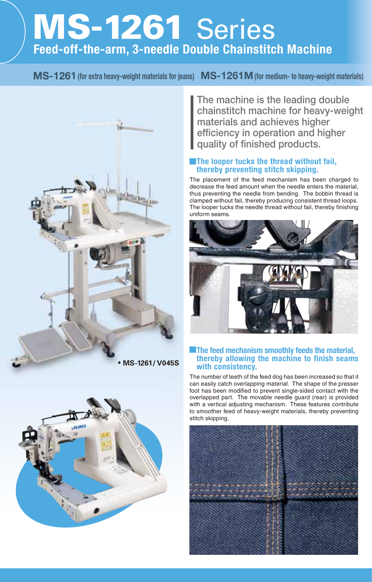# **MS-1261** Series **Feed-off-the-arm, 3-needle Double Chainstitch Machine**

#### **1(for extra heavy-weight materials for jeans) MS-1261M(for medium- to heavy-weight materials)**





**The machine is the leading double chainstitch machine for heavy-weight materials and achieves higher efficiency in operation and higher quality of finished products.**

#### **The looper tucks the thread without fail, thereby preventing stitch skipping.**

The placement of the feed mechanism has been charged to decrease the feed amount when the needle enters the material, thus preventing the needle from bending. The bobbin thread is clamped without fail, thereby producing consistent thread loops. The looper tucks the needle thread without fail, thereby finishing uniform seams.



#### **The feed mechanism smoothly feeds the material, thereby allowing the machine to finish seams with consistency.**

The number of teeth of the feed dog has been increased so that it can easily catch overlapping material. The shape of the presser foot has been modified to prevent single-sided contact with the overlapped part. The movable needle guard (rear) is provided with a vertical adjusting mechanism. These features contribute to smoother feed of heavy-weight materials, thereby preventing stitch skipping.

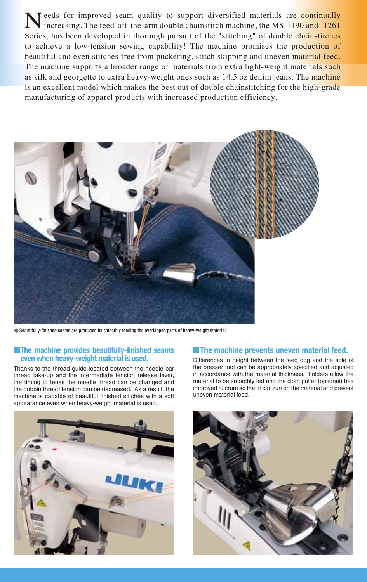Needs for improved seam quality to support diversified materials are continually increasing. The feed-off-the-arm double chainstitch machine, the MS-1190 and -1261 increasing. The feed-off-the-arm double chainstitch machine, the MS-1190 and -1261 Series, has been developed in thorough pursuit of the "stitching" of double chainstitches to achieve a low-tension sewing capability! The machine promises the production of beautiful and even stitches free from puckering, stitch skipping and uneven material feed. The machine supports a broader range of materials from extra light-weight materials such as silk and georgette to extra heavy-weight ones such as 14.5 oz denim jeans. The machine is an excellent model which makes the best out of double chainstitching for the high-grade manufacturing of apparel products with increased production efficiency.



Beautifully-finished seams are produced by smoothly feeding the overlapped parts of heavy-weight material.

#### **The machine provides beautifully-finished seams even when heavy-weight material is used.**

Thanks to the thread guide located between the needle bar thread take-up and the intermediate tension release lever, the timing to tense the needle thread can be changed and the bobbin thread tension can be decreased. As a result, the machine is capable of beautiful finished stitches with a soft appearance even when heavy-weight material is used.



#### **The machine prevents uneven material feed.**

Differences in height between the feed dog and the sole of the presser foot can be appropriately specified and adjusted in accordance with the material thickness. Folders allow the material to be smoothly fed and the cloth puller (optional) has improved fulcrum so that it can run on the material and prevent uneven material feed.

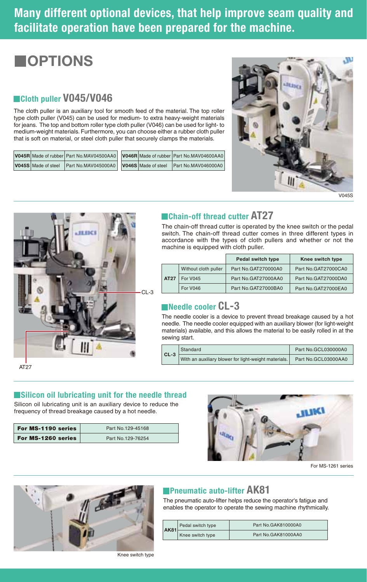### **Many different optional devices, that help improve seam quality and facilitate operation have been prepared for the machine.**

### **OPTIONS**

#### **Cloth puller V045/V046**

The cloth puller is an auxiliary tool for smooth feed of the material. The top roller type cloth puller (V045) can be used for medium- to extra heavy-weight materials for jeans. The top and bottom roller type cloth puller (V046) can be used for light- to medium-weight materials. Furthermore, you can choose either a rubber cloth puller that is soft on material, or steel cloth puller that securely clamps the materials.

|                     | V045R Made of rubber Part No.MAV04500AA0 V046R Made of rubber Part No.MAV04600AA0 |  |  |
|---------------------|-----------------------------------------------------------------------------------|--|--|
| V045S Made of steel | Part No.MAV045000A0   V046S Made of steel Part No.MAV046000A0                     |  |  |



V045S



#### **Chain-off thread cutter AT27**

The chain-off thread cutter is operated by the knee switch or the pedal switch. The chain-off thread cutter comes in three different types in accordance with the types of cloth pullers and whether or not the machine is equipped with cloth puller.

|      |                      | Pedal switch type   | Knee switch type    |
|------|----------------------|---------------------|---------------------|
| AT27 | Without cloth puller | Part No.GAT270000A0 | Part No.GAT27000CA0 |
|      | <b>For V045</b>      | Part No.GAT27000AA0 | Part No.GAT27000DA0 |
|      | <b>For V046</b>      | Part No.GAT27000BA0 | Part No.GAT27000EA0 |

#### **Needle cooler CL-3**

The needle cooler is a device to prevent thread breakage caused by a hot needle. The needle cooler equipped with an auxiliary blower (for light-weight materials) available, and this allows the material to be easily rolled in at the sewing start.

| $CL-3$ | Standard                                             | Part No.GCL030000A0 |  |
|--------|------------------------------------------------------|---------------------|--|
|        | With an auxiliary blower for light-weight materials. | Part No.GCL03000AA0 |  |

AT27

#### **Exilicon oil lubricating unit for the needle thread**

Silicon oil lubricating unit is an auxiliary device to reduce the frequency of thread breakage caused by a hot needle.

| For MS-1190 series | Part No. 129-45168 |
|--------------------|--------------------|
| For MS-1260 series | Part No. 129-76254 |



For MS-1261 series



### **Pneumatic auto-lifter AK81**

The pneumatic auto-lifter helps reduce the operator's fatigue and enables the operator to operate the sewing machine rhythmically.

| AK81 | Pedal switch type | Part No.GAK810000A0 |  |  |
|------|-------------------|---------------------|--|--|
|      | Knee switch type  | Part No.GAK81000AA0 |  |  |

Knee switch type